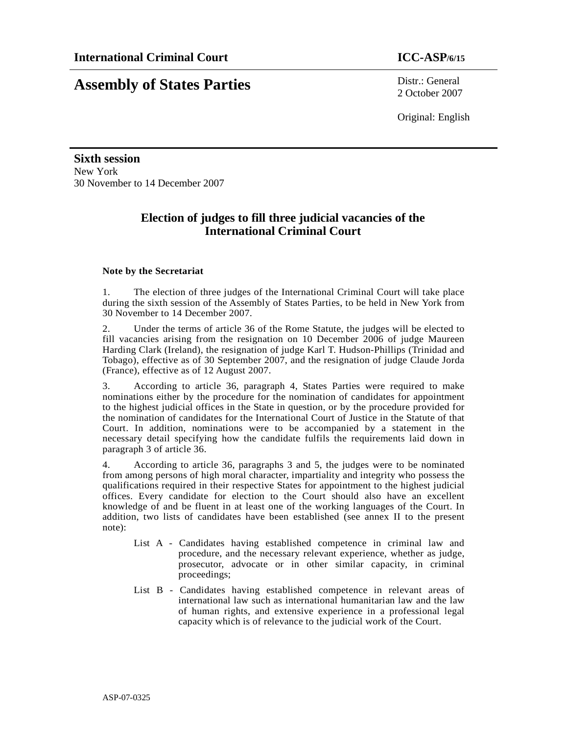## **Assembly of States Parties** Distr.: General

2 October 2007

Original: English

**Sixth session**  New York 30 November to 14 December 2007

#### **Election of judges to fill three judicial vacancies of the International Criminal Court**

#### **Note by the Secretariat**

1. The election of three judges of the International Criminal Court will take place during the sixth session of the Assembly of States Parties, to be held in New York from 30 November to 14 December 2007.

2. Under the terms of article 36 of the Rome Statute, the judges will be elected to fill vacancies arising from the resignation on 10 December 2006 of judge Maureen Harding Clark (Ireland), the resignation of judge Karl T. Hudson-Phillips (Trinidad and Tobago), effective as of 30 September 2007, and the resignation of judge Claude Jorda (France), effective as of 12 August 2007.

3. According to article 36, paragraph 4, States Parties were required to make nominations either by the procedure for the nomination of candidates for appointment to the highest judicial offices in the State in question, or by the procedure provided for the nomination of candidates for the International Court of Justice in the Statute of that Court. In addition, nominations were to be accompanied by a statement in the necessary detail specifying how the candidate fulfils the requirements laid down in paragraph 3 of article 36.

4. According to article 36, paragraphs 3 and 5, the judges were to be nominated from among persons of high moral character, impartiality and integrity who possess the qualifications required in their respective States for appointment to the highest judicial offices. Every candidate for election to the Court should also have an excellent knowledge of and be fluent in at least one of the working languages of the Court. In addition, two lists of candidates have been established (see annex II to the present note):

- List A Candidates having established competence in criminal law and procedure, and the necessary relevant experience, whether as judge, prosecutor, advocate or in other similar capacity, in criminal proceedings;
- List B Candidates having established competence in relevant areas of international law such as international humanitarian law and the law of human rights, and extensive experience in a professional legal capacity which is of relevance to the judicial work of the Court.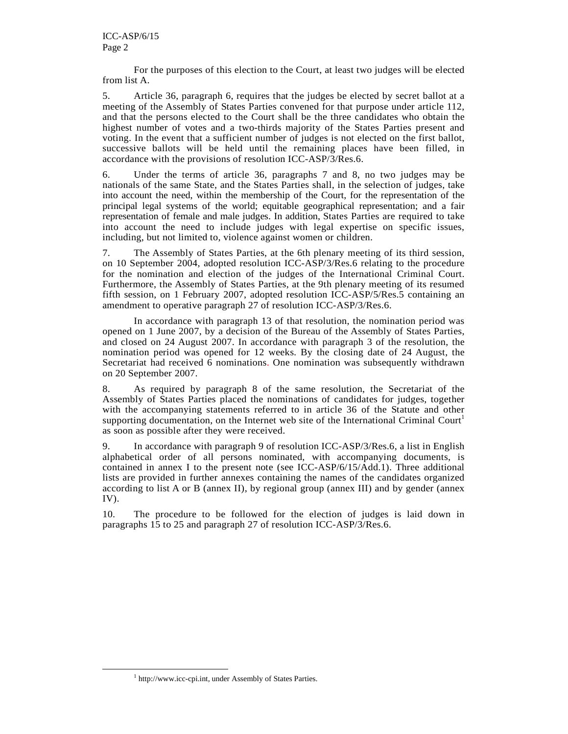For the purposes of this election to the Court, at least two judges will be elected from list A.

5. Article 36, paragraph 6, requires that the judges be elected by secret ballot at a meeting of the Assembly of States Parties convened for that purpose under article 112, and that the persons elected to the Court shall be the three candidates who obtain the highest number of votes and a two-thirds majority of the States Parties present and voting. In the event that a sufficient number of judges is not elected on the first ballot, successive ballots will be held until the remaining places have been filled, in accordance with the provisions of resolution ICC-ASP/3/Res.6.

6. Under the terms of article 36, paragraphs 7 and 8, no two judges may be nationals of the same State, and the States Parties shall, in the selection of judges, take into account the need, within the membership of the Court, for the representation of the principal legal systems of the world; equitable geographical representation; and a fair representation of female and male judges. In addition, States Parties are required to take into account the need to include judges with legal expertise on specific issues, including, but not limited to, violence against women or children.

7. The Assembly of States Parties, at the 6th plenary meeting of its third session, on 10 September 2004, adopted resolution ICC-ASP/3/Res.6 relating to the procedure for the nomination and election of the judges of the International Criminal Court. Furthermore, the Assembly of States Parties, at the 9th plenary meeting of its resumed fifth session, on 1 February 2007, adopted resolution ICC-ASP/5/Res.5 containing an amendment to operative paragraph 27 of resolution ICC-ASP/3/Res.6.

 In accordance with paragraph 13 of that resolution, the nomination period was opened on 1 June 2007, by a decision of the Bureau of the Assembly of States Parties, and closed on 24 August 2007. In accordance with paragraph 3 of the resolution, the nomination period was opened for 12 weeks. By the closing date of 24 August, the Secretariat had received 6 nominations. One nomination was subsequently withdrawn on 20 September 2007.

8. As required by paragraph 8 of the same resolution, the Secretariat of the Assembly of States Parties placed the nominations of candidates for judges, together with the accompanying statements referred to in article 36 of the Statute and other supporting documentation, on the Internet web site of the International Criminal Court<sup>1</sup> as soon as possible after they were received.

9. In accordance with paragraph 9 of resolution ICC-ASP/3/Res.6, a list in English alphabetical order of all persons nominated, with accompanying documents, is contained in annex I to the present note (see ICC-ASP/6/15/Add.1). Three additional lists are provided in further annexes containing the names of the candidates organized according to list A or B (annex II), by regional group (annex III) and by gender (annex IV).

10. The procedure to be followed for the election of judges is laid down in paragraphs 15 to 25 and paragraph 27 of resolution ICC-ASP/3/Res.6.

-

<sup>&</sup>lt;sup>1</sup> http://www.icc-cpi.int, under Assembly of States Parties.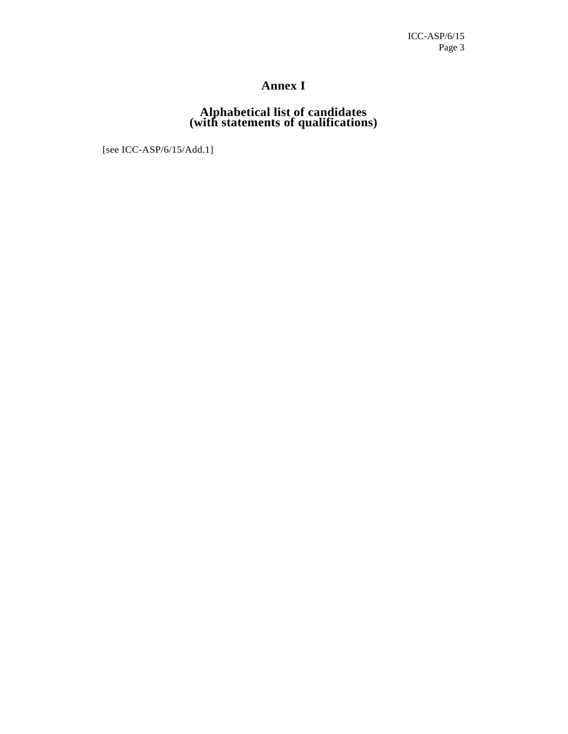#### **Annex I**

#### **Alphabetical list of candidates (with statements of qualifications)**

[see ICC-ASP/6/15/Add.1]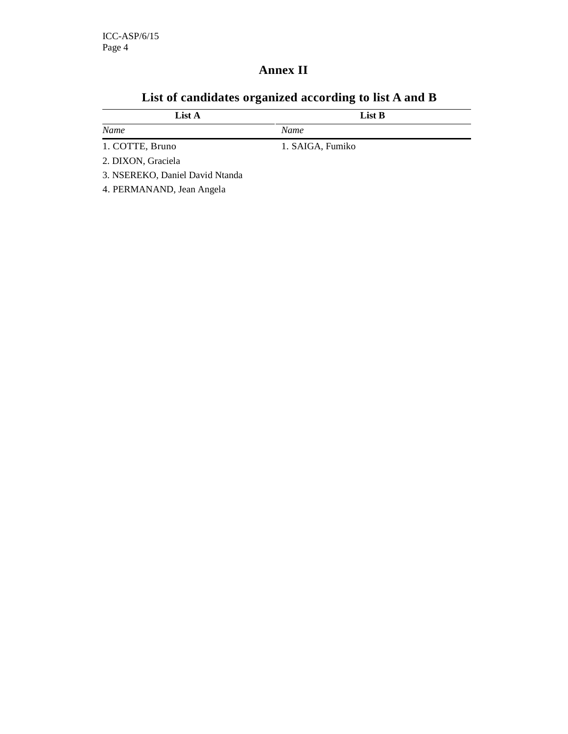## **Annex II**

| List A                          | List B           |
|---------------------------------|------------------|
| Name                            | Name             |
| 1. COTTE, Bruno                 | 1. SAIGA, Fumiko |
| 2. DIXON, Graciela              |                  |
| 3. NSEREKO, Daniel David Ntanda |                  |

### **List of candidates organized according to list A and B**

4. PERMANAND, Jean Angela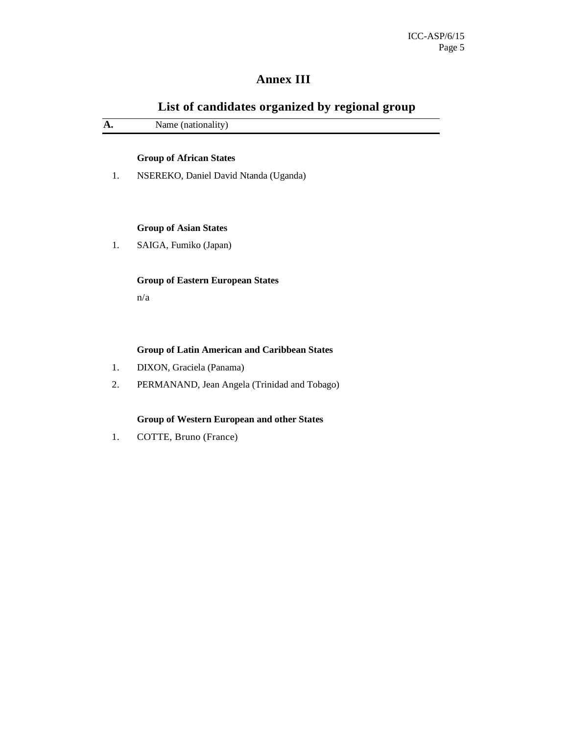### **Annex III**

| List of candidates organized by regional group |                                                     |  |
|------------------------------------------------|-----------------------------------------------------|--|
| A.                                             | Name (nationality)                                  |  |
|                                                | <b>Group of African States</b>                      |  |
| 1.                                             | NSEREKO, Daniel David Ntanda (Uganda)               |  |
|                                                | <b>Group of Asian States</b>                        |  |
| 1.                                             | SAIGA, Fumiko (Japan)                               |  |
|                                                | <b>Group of Eastern European States</b>             |  |
|                                                | n/a                                                 |  |
|                                                | <b>Group of Latin American and Caribbean States</b> |  |
| 1.                                             | DIXON, Graciela (Panama)                            |  |
| 2.                                             | PERMANAND, Jean Angela (Trinidad and Tobago)        |  |
|                                                | <b>Group of Western European and other States</b>   |  |
| 1.                                             | COTTE, Bruno (France)                               |  |
|                                                |                                                     |  |